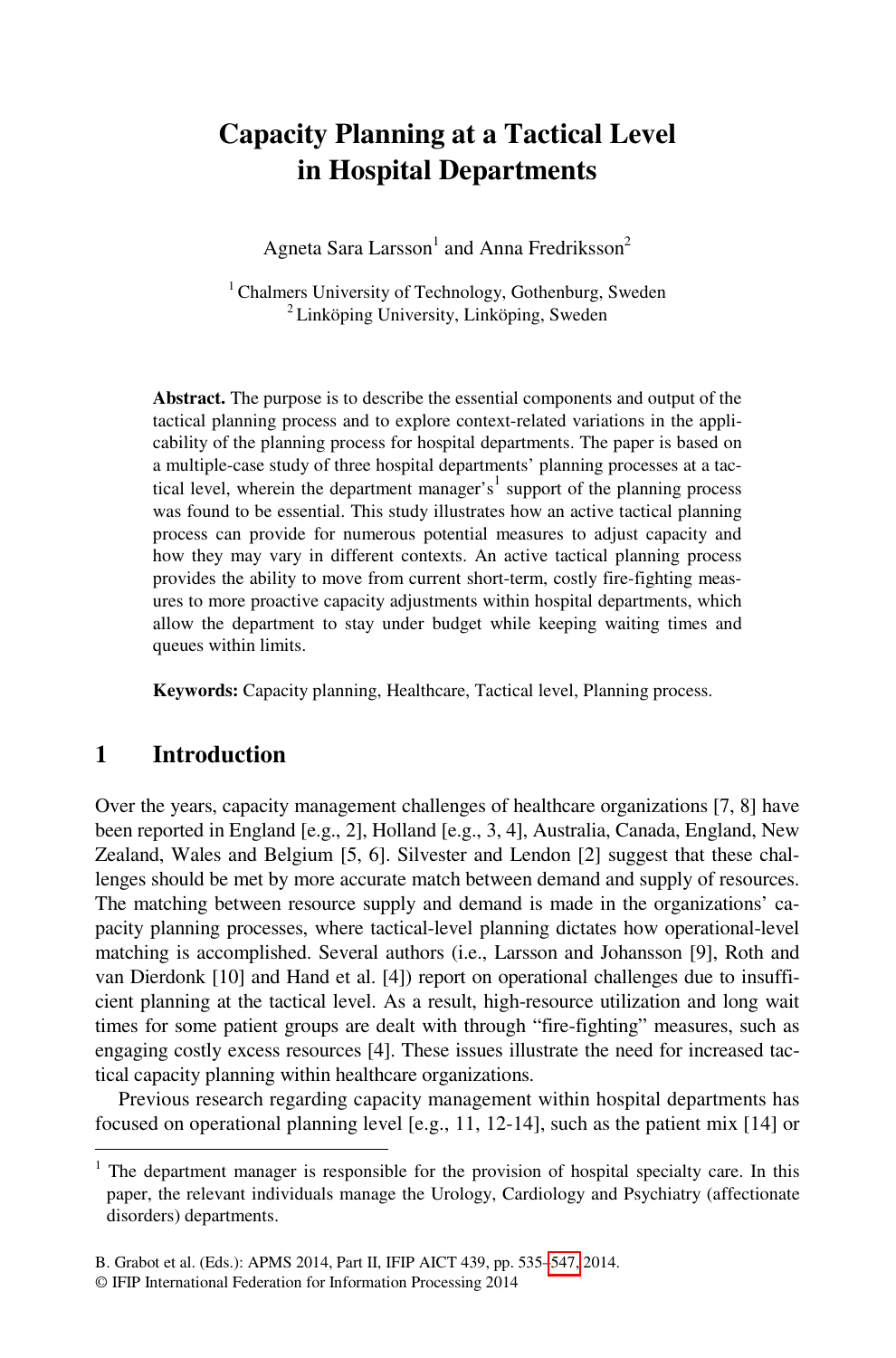# **Capacity Planning at a Tactical Level in Hospital Departments**

Agneta Sara Larsson<sup>1</sup> and Anna Fredriksson<sup>2</sup>

<sup>1</sup> Chalmers University of Technology, Gothenburg, Sweden <sup>2</sup> Linköping University, Linköping, Sweden

**Abstract.** The purpose is to describe the essential components and output of the tactical planning process and to explore context-related variations in the applicability of the planning process for hospital departments. The paper is based on a multiple-case study of three hospital departments' planning processes at a tactical level, wherein the department manager's<sup>1</sup> support of the planning process was found to be essential. This study illustrates how an active tactical planning process can provide for numerous potential measures to adjust capacity and how they may vary in different contexts. An active tactical planning process provides the ability to move from current short-term, costly fire-fighting measures to more proactive capacity adjustments within hospital departments, which allow the department to stay under budget while keeping waiting times and queues within limits.

**Keywords:** Capacity planning, Healthcare, Tactical level, Planning process.

#### **1 Introduction**

-

Over the years, capacity management challenges of healthcare organizations [7, 8] have been reported in England [e.g., 2], Holland [e.g., 3, 4], Australia, Canada, England, New Zealand, Wales and Belgium [5, 6]. Silvester and Lendon [2] suggest that these challenges should be met by more accurate match between demand and supply of resources. The matching between resource supply and demand is made in the organizations' capacity planning processes, where tactical-level planning dictates how operational-level matching is accomplished. Several authors (i.e., Larsson and Johansson [9], Roth and van Dierdonk [10] and Hand et al. [4]) report on operational challenges due to insufficient planning at the tactical level. As a result, high-resource utilization and long wait times for some patient groups are dealt with through "fire-fighting" measures, such as engaging costly excess resources [4]. These issues illustrate the need for increased tactical capacity planning within health[care](#page-12-0) organizations.

Previous research regarding capacity management within hospital departments has focused on operational planning level [e.g., 11, 12-14], such as the patient mix [14] or

 $1$  The department manager is responsible for the provision of hospital specialty care. In this paper, the relevant individuals manage the Urology, Cardiology and Psychiatry (affectionate disorders) departments.

B. Grabot et al. (Eds.): APMS 2014, Part II, IFIP AICT 439, pp. 535–547, 2014.

<sup>©</sup> IFIP International Federation for Information Processing 2014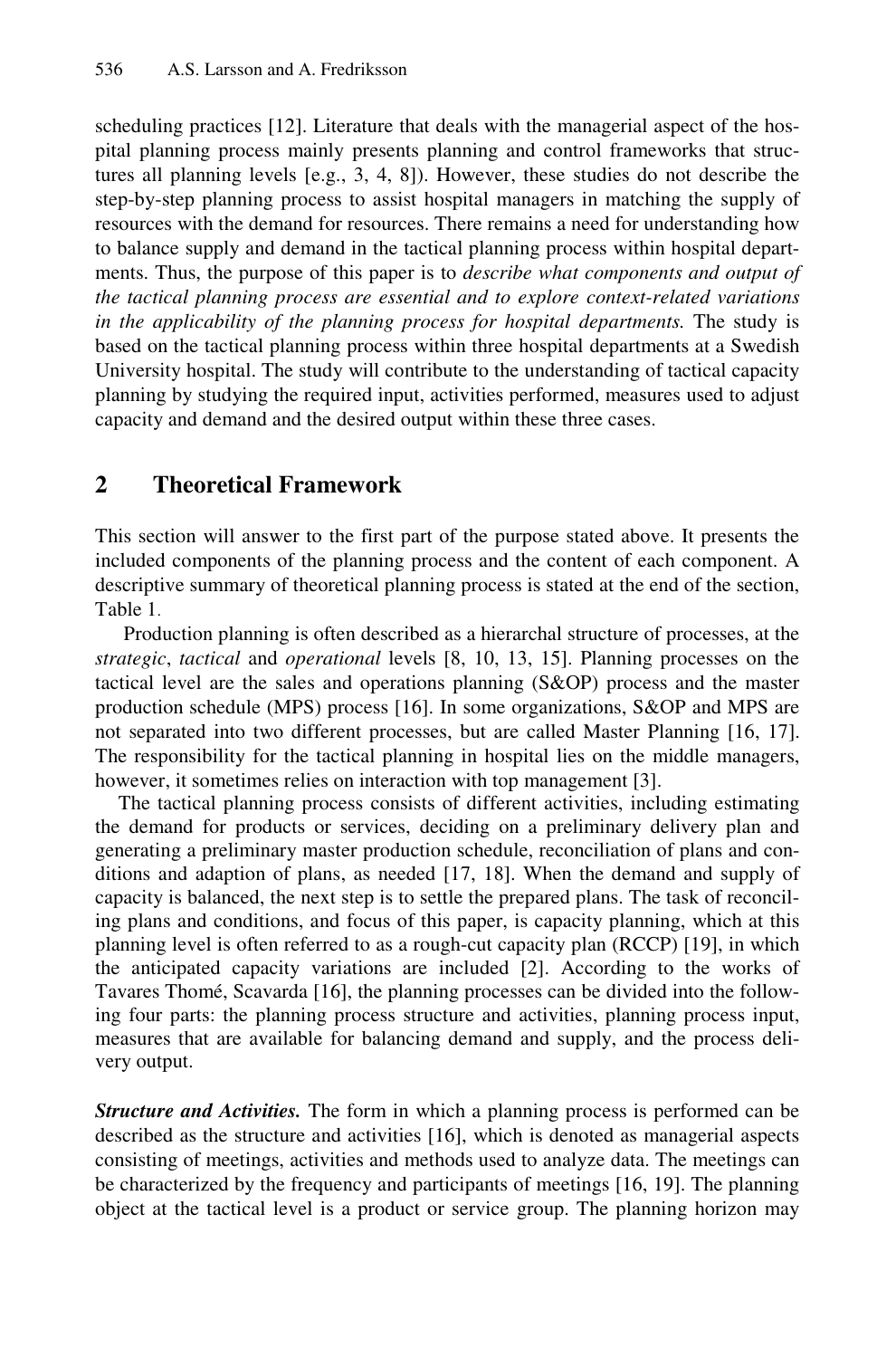scheduling practices [12]. Literature that deals with the managerial aspect of the hospital planning process mainly presents planning and control frameworks that structures all planning levels [e.g., 3, 4, 8]). However, these studies do not describe the step-by-step planning process to assist hospital managers in matching the supply of resources with the demand for resources. There remains a need for understanding how to balance supply and demand in the tactical planning process within hospital departments. Thus, the purpose of this paper is to *describe what components and output of the tactical planning process are essential and to explore context-related variations in the applicability of the planning process for hospital departments.* The study is based on the tactical planning process within three hospital departments at a Swedish University hospital. The study will contribute to the understanding of tactical capacity planning by studying the required input, activities performed, measures used to adjust capacity and demand and the desired output within these three cases.

### **2 Theoretical Framework**

This section will answer to the first part of the purpose stated above. It presents the included components of the planning process and the content of each component. A descriptive summary of theoretical planning process is stated at the end of the section, Table 1.

 Production planning is often described as a hierarchal structure of processes, at the *strategic*, *tactical* and *operational* levels [8, 10, 13, 15]. Planning processes on the tactical level are the sales and operations planning (S&OP) process and the master production schedule (MPS) process [16]. In some organizations, S&OP and MPS are not separated into two different processes, but are called Master Planning [16, 17]. The responsibility for the tactical planning in hospital lies on the middle managers, however, it sometimes relies on interaction with top management [3].

The tactical planning process consists of different activities, including estimating the demand for products or services, deciding on a preliminary delivery plan and generating a preliminary master production schedule, reconciliation of plans and conditions and adaption of plans, as needed [17, 18]. When the demand and supply of capacity is balanced, the next step is to settle the prepared plans. The task of reconciling plans and conditions, and focus of this paper, is capacity planning, which at this planning level is often referred to as a rough-cut capacity plan (RCCP) [19], in which the anticipated capacity variations are included [2]. According to the works of Tavares Thomé, Scavarda [16], the planning processes can be divided into the following four parts: the planning process structure and activities, planning process input, measures that are available for balancing demand and supply, and the process delivery output.

*Structure and Activities.* The form in which a planning process is performed can be described as the structure and activities [16], which is denoted as managerial aspects consisting of meetings, activities and methods used to analyze data. The meetings can be characterized by the frequency and participants of meetings [16, 19]. The planning object at the tactical level is a product or service group. The planning horizon may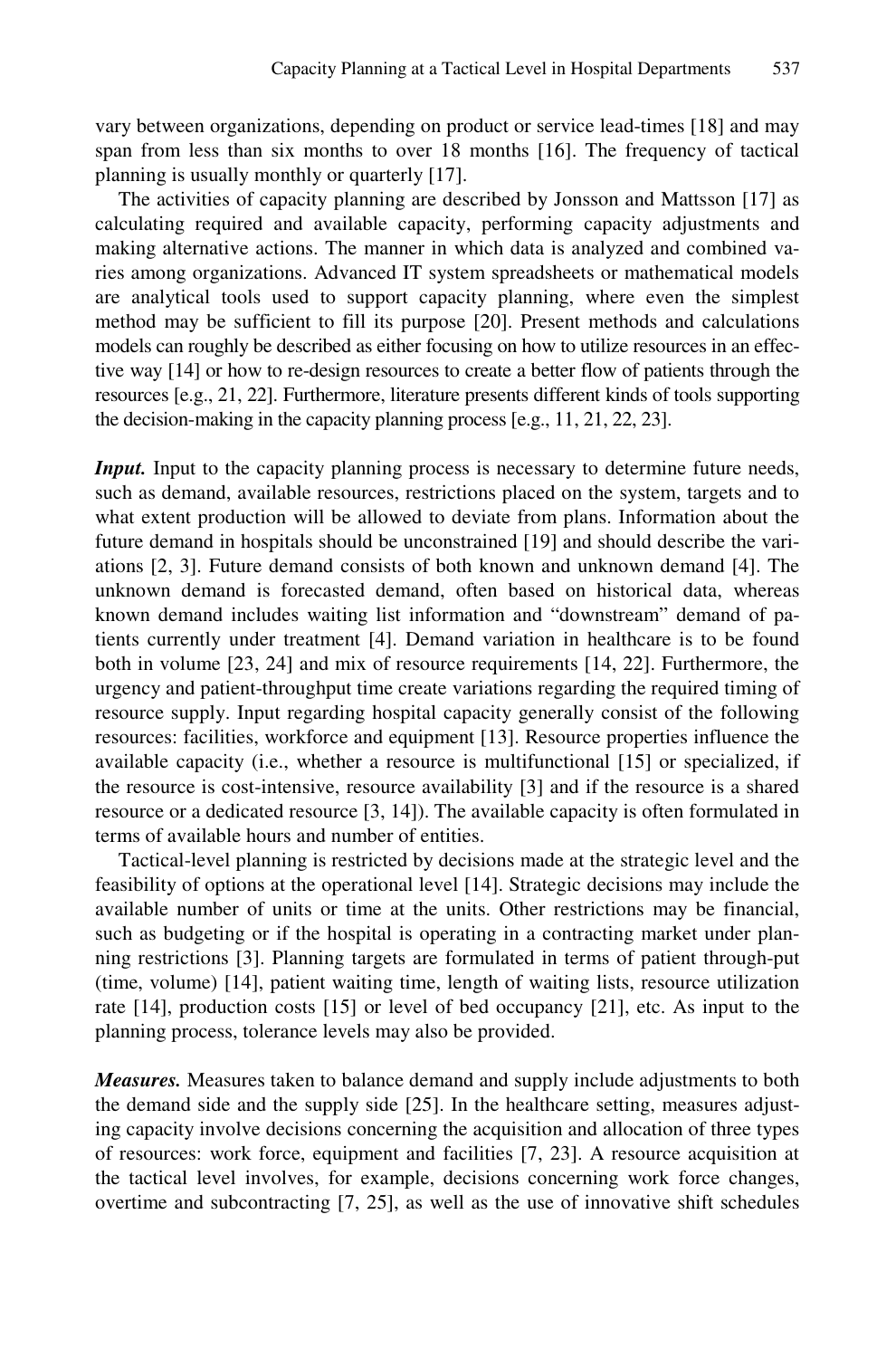vary between organizations, depending on product or service lead-times [18] and may span from less than six months to over 18 months [16]. The frequency of tactical planning is usually monthly or quarterly [17].

The activities of capacity planning are described by Jonsson and Mattsson [17] as calculating required and available capacity, performing capacity adjustments and making alternative actions. The manner in which data is analyzed and combined varies among organizations. Advanced IT system spreadsheets or mathematical models are analytical tools used to support capacity planning, where even the simplest method may be sufficient to fill its purpose [20]. Present methods and calculations models can roughly be described as either focusing on how to utilize resources in an effective way [14] or how to re-design resources to create a better flow of patients through the resources [e.g., 21, 22]. Furthermore, literature presents different kinds of tools supporting the decision-making in the capacity planning process [e.g., 11, 21, 22, 23].

*Input.* Input to the capacity planning process is necessary to determine future needs, such as demand, available resources, restrictions placed on the system, targets and to what extent production will be allowed to deviate from plans. Information about the future demand in hospitals should be unconstrained [19] and should describe the variations [2, 3]. Future demand consists of both known and unknown demand [4]. The unknown demand is forecasted demand, often based on historical data, whereas known demand includes waiting list information and "downstream" demand of patients currently under treatment [4]. Demand variation in healthcare is to be found both in volume [23, 24] and mix of resource requirements [14, 22]. Furthermore, the urgency and patient-throughput time create variations regarding the required timing of resource supply. Input regarding hospital capacity generally consist of the following resources: facilities, workforce and equipment [13]. Resource properties influence the available capacity (i.e., whether a resource is multifunctional [15] or specialized, if the resource is cost-intensive, resource availability [3] and if the resource is a shared resource or a dedicated resource [3, 14]). The available capacity is often formulated in terms of available hours and number of entities.

Tactical-level planning is restricted by decisions made at the strategic level and the feasibility of options at the operational level [14]. Strategic decisions may include the available number of units or time at the units. Other restrictions may be financial, such as budgeting or if the hospital is operating in a contracting market under planning restrictions [3]. Planning targets are formulated in terms of patient through-put (time, volume) [14], patient waiting time, length of waiting lists, resource utilization rate [14], production costs [15] or level of bed occupancy [21], etc. As input to the planning process, tolerance levels may also be provided.

*Measures.* Measures taken to balance demand and supply include adjustments to both the demand side and the supply side [25]. In the healthcare setting, measures adjusting capacity involve decisions concerning the acquisition and allocation of three types of resources: work force, equipment and facilities [7, 23]. A resource acquisition at the tactical level involves, for example, decisions concerning work force changes, overtime and subcontracting [7, 25], as well as the use of innovative shift schedules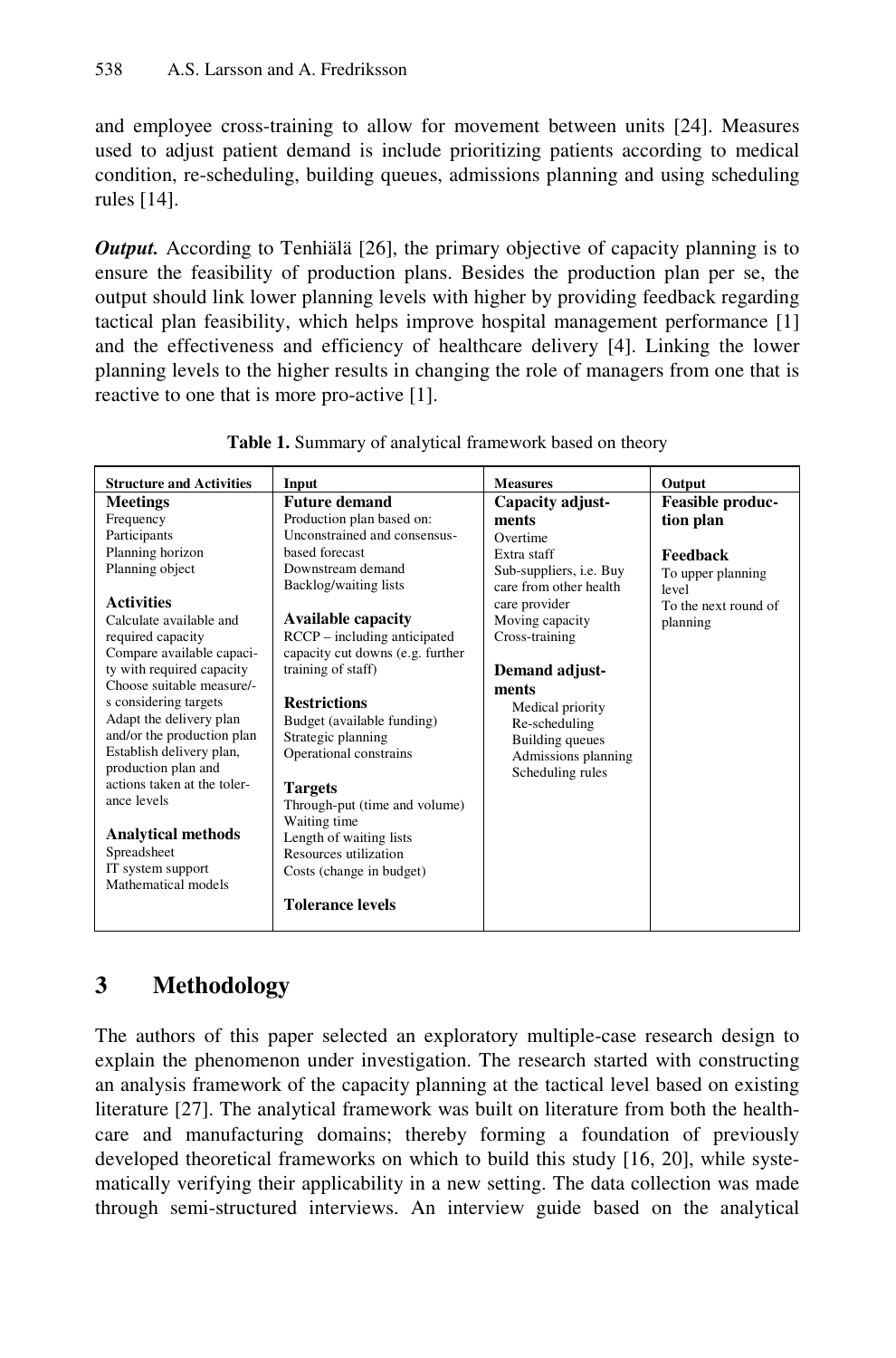and employee cross-training to allow for movement between units [24]. Measures used to adjust patient demand is include prioritizing patients according to medical condition, re-scheduling, building queues, admissions planning and using scheduling rules [14].

*Output.* According to Tenhiälä [26], the primary objective of capacity planning is to ensure the feasibility of production plans. Besides the production plan per se, the output should link lower planning levels with higher by providing feedback regarding tactical plan feasibility, which helps improve hospital management performance [1] and the effectiveness and efficiency of healthcare delivery [4]. Linking the lower planning levels to the higher results in changing the role of managers from one that is reactive to one that is more pro-active [1].

| <b>Structure and Activities</b>                                                                                                                                                                                                                                                                                                   | Input                                                                                                                                                                                                                                                                                                 | <b>Measures</b>                                                                                                                                                 | Output                                                                                                                    |
|-----------------------------------------------------------------------------------------------------------------------------------------------------------------------------------------------------------------------------------------------------------------------------------------------------------------------------------|-------------------------------------------------------------------------------------------------------------------------------------------------------------------------------------------------------------------------------------------------------------------------------------------------------|-----------------------------------------------------------------------------------------------------------------------------------------------------------------|---------------------------------------------------------------------------------------------------------------------------|
| <b>Meetings</b><br>Frequency<br>Participants<br>Planning horizon<br>Planning object<br><b>Activities</b><br>Calculate available and<br>required capacity<br>Compare available capaci-                                                                                                                                             | <b>Future demand</b><br>Production plan based on:<br>Unconstrained and consensus-<br>based forecast<br>Downstream demand<br>Backlog/waiting lists<br><b>Available capacity</b><br>$RCCP$ – including anticipated<br>capacity cut downs (e.g. further                                                  | Capacity adjust-<br>ments<br>Overtime<br>Extra staff<br>Sub-suppliers, i.e. Buy<br>care from other health<br>care provider<br>Moving capacity<br>Cross-training | <b>Feasible produc-</b><br>tion plan<br><b>Feedback</b><br>To upper planning<br>level<br>To the next round of<br>planning |
| ty with required capacity<br>Choose suitable measure/-<br>s considering targets<br>Adapt the delivery plan<br>and/or the production plan<br>Establish delivery plan,<br>production plan and<br>actions taken at the toler-<br>ance levels<br><b>Analytical methods</b><br>Spreadsheet<br>IT system support<br>Mathematical models | training of staff)<br><b>Restrictions</b><br>Budget (available funding)<br>Strategic planning<br>Operational constrains<br><b>Targets</b><br>Through-put (time and volume)<br>Waiting time<br>Length of waiting lists<br>Resources utilization<br>Costs (change in budget)<br><b>Tolerance levels</b> | Demand adjust-<br>ments<br>Medical priority<br>Re-scheduling<br><b>Building queues</b><br>Admissions planning<br>Scheduling rules                               |                                                                                                                           |

**Table 1.** Summary of analytical framework based on theory

## **3 Methodology**

The authors of this paper selected an exploratory multiple-case research design to explain the phenomenon under investigation. The research started with constructing an analysis framework of the capacity planning at the tactical level based on existing literature [27]. The analytical framework was built on literature from both the healthcare and manufacturing domains; thereby forming a foundation of previously developed theoretical frameworks on which to build this study [16, 20], while systematically verifying their applicability in a new setting. The data collection was made through semi-structured interviews. An interview guide based on the analytical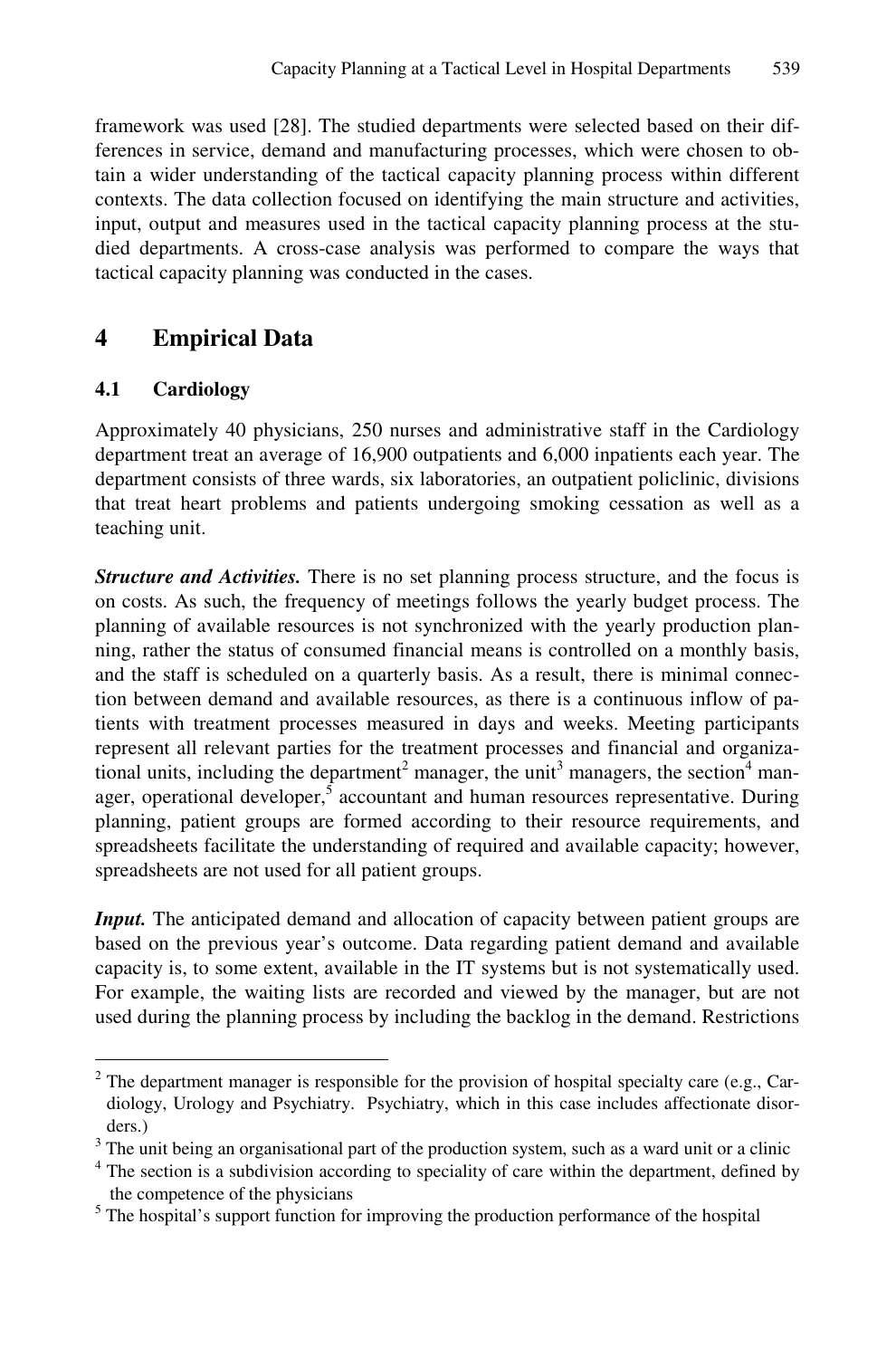framework was used [28]. The studied departments were selected based on their differences in service, demand and manufacturing processes, which were chosen to obtain a wider understanding of the tactical capacity planning process within different contexts. The data collection focused on identifying the main structure and activities, input, output and measures used in the tactical capacity planning process at the studied departments. A cross-case analysis was performed to compare the ways that tactical capacity planning was conducted in the cases.

### **4 Empirical Data**

#### **4.1 Cardiology**

j

Approximately 40 physicians, 250 nurses and administrative staff in the Cardiology department treat an average of 16,900 outpatients and 6,000 inpatients each year. The department consists of three wards, six laboratories, an outpatient policlinic, divisions that treat heart problems and patients undergoing smoking cessation as well as a teaching unit.

*Structure and Activities.* There is no set planning process structure, and the focus is on costs. As such, the frequency of meetings follows the yearly budget process. The planning of available resources is not synchronized with the yearly production planning, rather the status of consumed financial means is controlled on a monthly basis, and the staff is scheduled on a quarterly basis. As a result, there is minimal connection between demand and available resources, as there is a continuous inflow of patients with treatment processes measured in days and weeks. Meeting participants represent all relevant parties for the treatment processes and financial and organizational units, including the department<sup>2</sup> manager, the unit<sup>3</sup> managers, the section<sup>4</sup> manager, operational developer,<sup>5</sup> accountant and human resources representative. During planning, patient groups are formed according to their resource requirements, and spreadsheets facilitate the understanding of required and available capacity; however, spreadsheets are not used for all patient groups.

*Input.* The anticipated demand and allocation of capacity between patient groups are based on the previous year's outcome. Data regarding patient demand and available capacity is, to some extent, available in the IT systems but is not systematically used. For example, the waiting lists are recorded and viewed by the manager, but are not used during the planning process by including the backlog in the demand. Restrictions

<sup>&</sup>lt;sup>2</sup> The department manager is responsible for the provision of hospital specialty care (e.g., Cardiology, Urology and Psychiatry. Psychiatry, which in this case includes affectionate disorders.)

 $3$  The unit being an organisational part of the production system, such as a ward unit or a clinic

<sup>&</sup>lt;sup>4</sup> The section is a subdivision according to speciality of care within the department, defined by the competence of the physicians

 $<sup>5</sup>$  The hospital's support function for improving the production performance of the hospital</sup>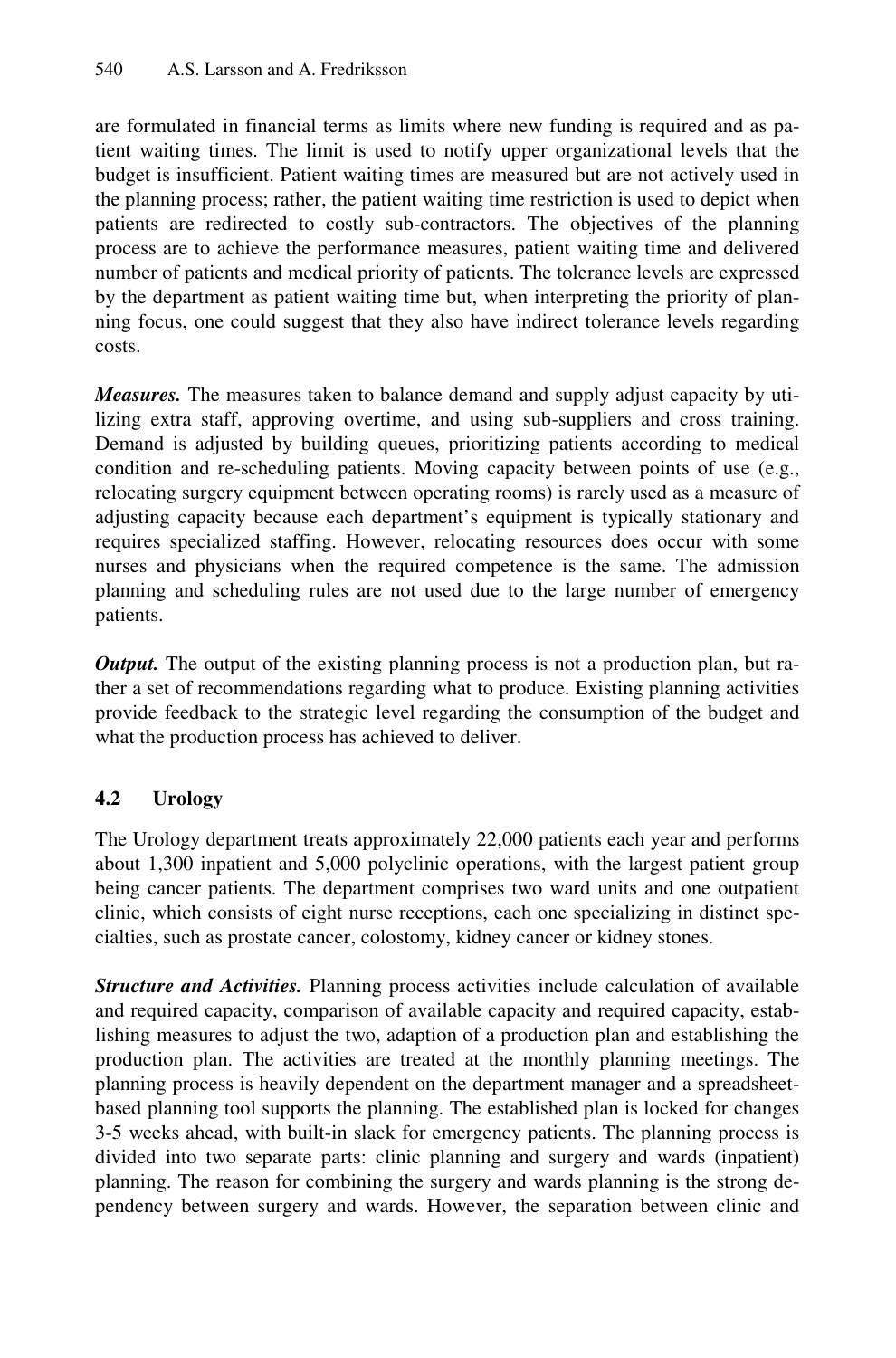are formulated in financial terms as limits where new funding is required and as patient waiting times. The limit is used to notify upper organizational levels that the budget is insufficient. Patient waiting times are measured but are not actively used in the planning process; rather, the patient waiting time restriction is used to depict when patients are redirected to costly sub-contractors. The objectives of the planning process are to achieve the performance measures, patient waiting time and delivered number of patients and medical priority of patients. The tolerance levels are expressed by the department as patient waiting time but, when interpreting the priority of planning focus, one could suggest that they also have indirect tolerance levels regarding costs.

*Measures.* The measures taken to balance demand and supply adjust capacity by utilizing extra staff, approving overtime, and using sub-suppliers and cross training. Demand is adjusted by building queues, prioritizing patients according to medical condition and re-scheduling patients. Moving capacity between points of use (e.g., relocating surgery equipment between operating rooms) is rarely used as a measure of adjusting capacity because each department's equipment is typically stationary and requires specialized staffing. However, relocating resources does occur with some nurses and physicians when the required competence is the same. The admission planning and scheduling rules are not used due to the large number of emergency patients.

*Output*. The output of the existing planning process is not a production plan, but rather a set of recommendations regarding what to produce. Existing planning activities provide feedback to the strategic level regarding the consumption of the budget and what the production process has achieved to deliver.

#### **4.2 Urology**

The Urology department treats approximately 22,000 patients each year and performs about 1,300 inpatient and 5,000 polyclinic operations, with the largest patient group being cancer patients. The department comprises two ward units and one outpatient clinic, which consists of eight nurse receptions, each one specializing in distinct specialties, such as prostate cancer, colostomy, kidney cancer or kidney stones.

*Structure and Activities.* Planning process activities include calculation of available and required capacity, comparison of available capacity and required capacity, establishing measures to adjust the two, adaption of a production plan and establishing the production plan. The activities are treated at the monthly planning meetings. The planning process is heavily dependent on the department manager and a spreadsheetbased planning tool supports the planning. The established plan is locked for changes 3-5 weeks ahead, with built-in slack for emergency patients. The planning process is divided into two separate parts: clinic planning and surgery and wards (inpatient) planning. The reason for combining the surgery and wards planning is the strong dependency between surgery and wards. However, the separation between clinic and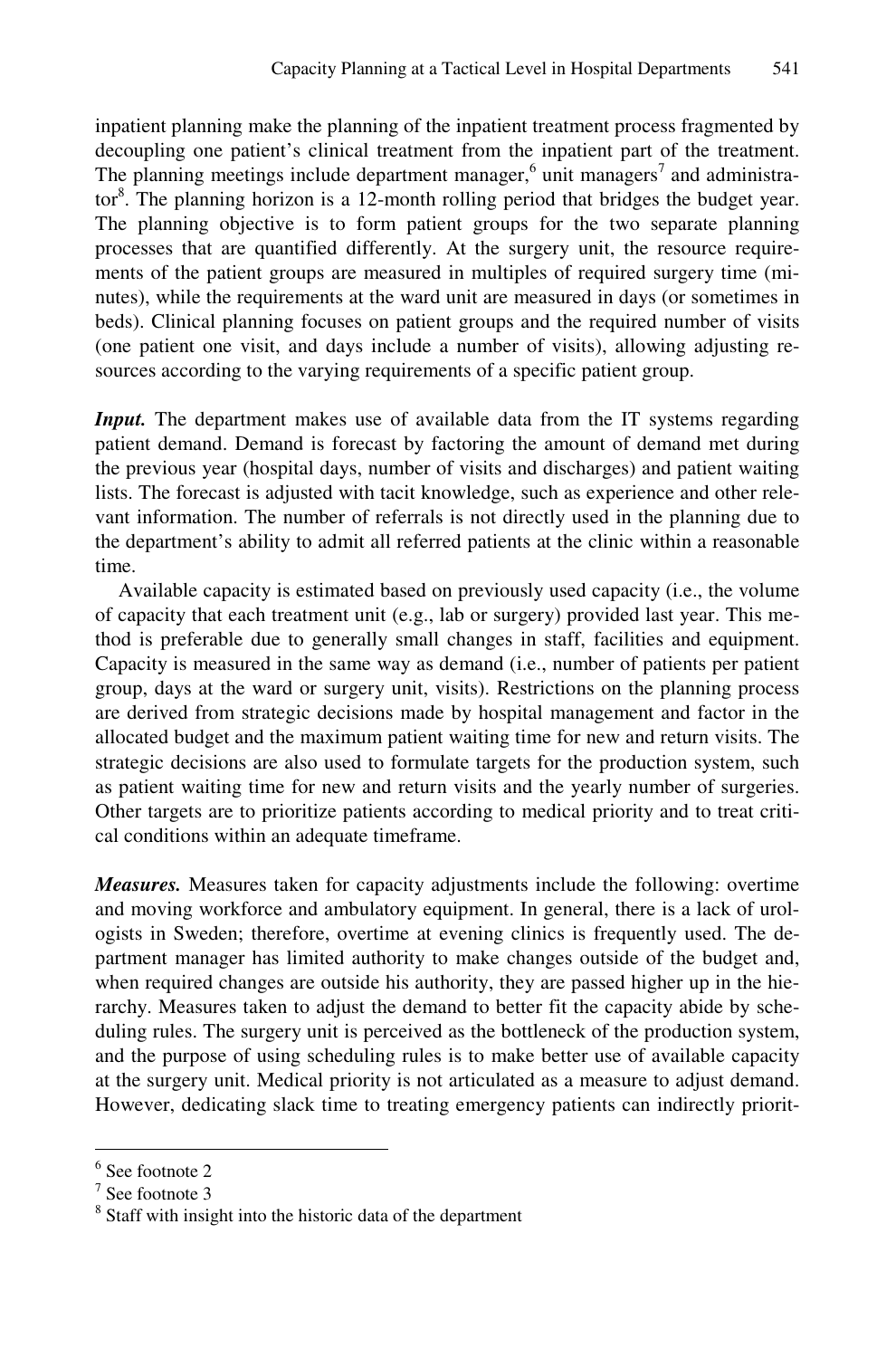inpatient planning make the planning of the inpatient treatment process fragmented by decoupling one patient's clinical treatment from the inpatient part of the treatment. The planning meetings include department manager,  $6$  unit managers<sup>7</sup> and administrator<sup>8</sup>. The planning horizon is a 12-month rolling period that bridges the budget year. The planning objective is to form patient groups for the two separate planning processes that are quantified differently. At the surgery unit, the resource requirements of the patient groups are measured in multiples of required surgery time (minutes), while the requirements at the ward unit are measured in days (or sometimes in beds). Clinical planning focuses on patient groups and the required number of visits (one patient one visit, and days include a number of visits), allowing adjusting resources according to the varying requirements of a specific patient group.

*Input.* The department makes use of available data from the IT systems regarding patient demand. Demand is forecast by factoring the amount of demand met during the previous year (hospital days, number of visits and discharges) and patient waiting lists. The forecast is adjusted with tacit knowledge, such as experience and other relevant information. The number of referrals is not directly used in the planning due to the department's ability to admit all referred patients at the clinic within a reasonable time.

Available capacity is estimated based on previously used capacity (i.e., the volume of capacity that each treatment unit (e.g., lab or surgery) provided last year. This method is preferable due to generally small changes in staff, facilities and equipment. Capacity is measured in the same way as demand (i.e., number of patients per patient group, days at the ward or surgery unit, visits). Restrictions on the planning process are derived from strategic decisions made by hospital management and factor in the allocated budget and the maximum patient waiting time for new and return visits. The strategic decisions are also used to formulate targets for the production system, such as patient waiting time for new and return visits and the yearly number of surgeries. Other targets are to prioritize patients according to medical priority and to treat critical conditions within an adequate timeframe.

*Measures.* Measures taken for capacity adjustments include the following: overtime and moving workforce and ambulatory equipment. In general, there is a lack of urologists in Sweden; therefore, overtime at evening clinics is frequently used. The department manager has limited authority to make changes outside of the budget and, when required changes are outside his authority, they are passed higher up in the hierarchy. Measures taken to adjust the demand to better fit the capacity abide by scheduling rules. The surgery unit is perceived as the bottleneck of the production system, and the purpose of using scheduling rules is to make better use of available capacity at the surgery unit. Medical priority is not articulated as a measure to adjust demand. However, dedicating slack time to treating emergency patients can indirectly priorit-

j

<sup>6</sup> See footnote 2

<sup>7</sup> See footnote 3

<sup>&</sup>lt;sup>8</sup> Staff with insight into the historic data of the department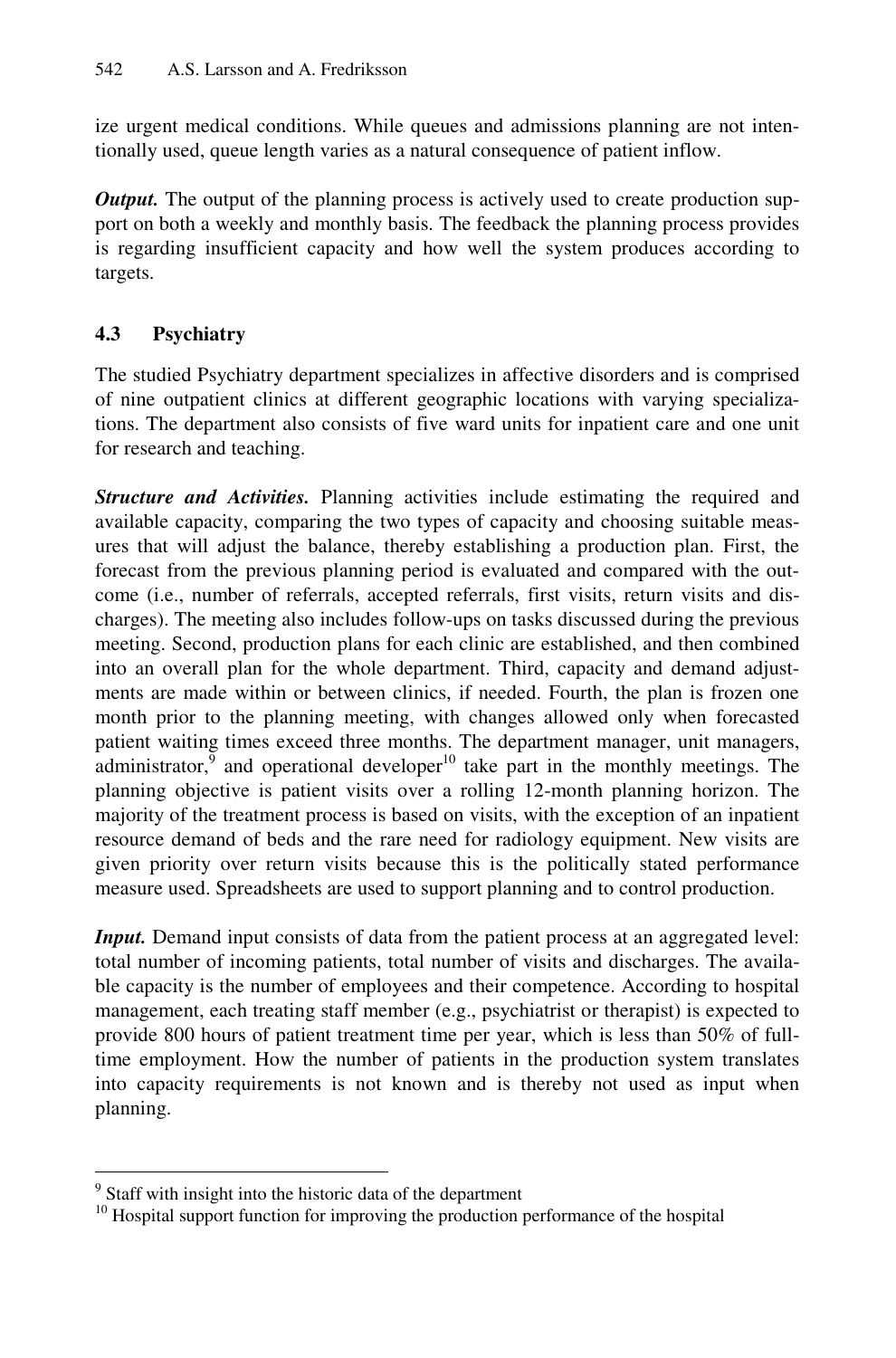ize urgent medical conditions. While queues and admissions planning are not intentionally used, queue length varies as a natural consequence of patient inflow.

*Output*. The output of the planning process is actively used to create production support on both a weekly and monthly basis. The feedback the planning process provides is regarding insufficient capacity and how well the system produces according to targets.

### **4.3 Psychiatry**

The studied Psychiatry department specializes in affective disorders and is comprised of nine outpatient clinics at different geographic locations with varying specializations. The department also consists of five ward units for inpatient care and one unit for research and teaching.

*Structure and Activities.* Planning activities include estimating the required and available capacity, comparing the two types of capacity and choosing suitable measures that will adjust the balance, thereby establishing a production plan. First, the forecast from the previous planning period is evaluated and compared with the outcome (i.e., number of referrals, accepted referrals, first visits, return visits and discharges). The meeting also includes follow-ups on tasks discussed during the previous meeting. Second, production plans for each clinic are established, and then combined into an overall plan for the whole department. Third, capacity and demand adjustments are made within or between clinics, if needed. Fourth, the plan is frozen one month prior to the planning meeting, with changes allowed only when forecasted patient waiting times exceed three months. The department manager, unit managers, administrator,<sup>9</sup> and operational developer<sup>10</sup> take part in the monthly meetings. The planning objective is patient visits over a rolling 12-month planning horizon. The majority of the treatment process is based on visits, with the exception of an inpatient resource demand of beds and the rare need for radiology equipment. New visits are given priority over return visits because this is the politically stated performance measure used. Spreadsheets are used to support planning and to control production.

*Input.* Demand input consists of data from the patient process at an aggregated level: total number of incoming patients, total number of visits and discharges. The available capacity is the number of employees and their competence. According to hospital management, each treating staff member (e.g., psychiatrist or therapist) is expected to provide 800 hours of patient treatment time per year, which is less than 50% of fulltime employment. How the number of patients in the production system translates into capacity requirements is not known and is thereby not used as input when planning.

-

<sup>&</sup>lt;sup>9</sup> Staff with insight into the historic data of the department

<sup>&</sup>lt;sup>10</sup> Hospital support function for improving the production performance of the hospital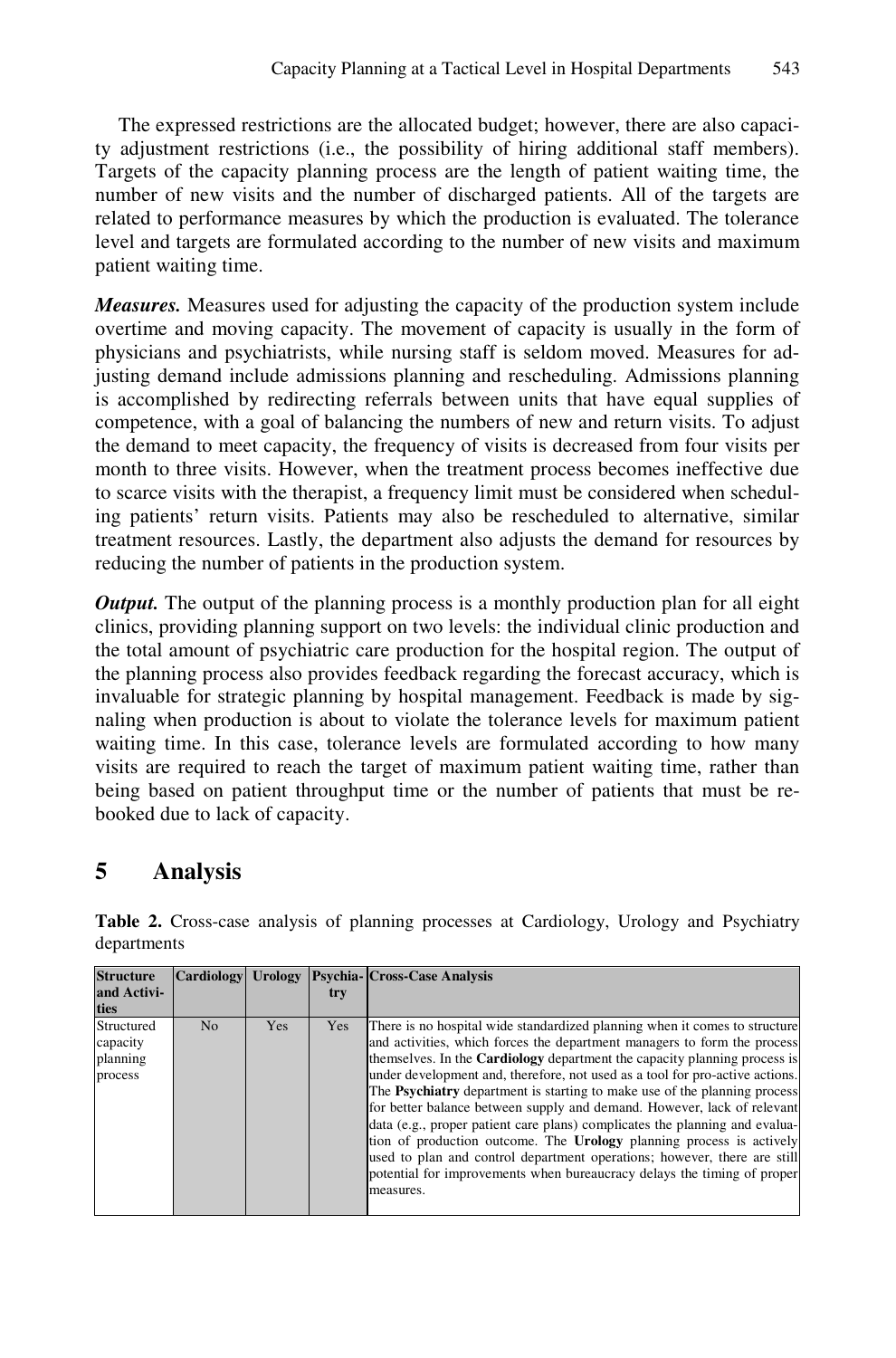The expressed restrictions are the allocated budget; however, there are also capacity adjustment restrictions (i.e., the possibility of hiring additional staff members). Targets of the capacity planning process are the length of patient waiting time, the number of new visits and the number of discharged patients. All of the targets are related to performance measures by which the production is evaluated. The tolerance level and targets are formulated according to the number of new visits and maximum patient waiting time.

*Measures.* Measures used for adjusting the capacity of the production system include overtime and moving capacity. The movement of capacity is usually in the form of physicians and psychiatrists, while nursing staff is seldom moved. Measures for adjusting demand include admissions planning and rescheduling. Admissions planning is accomplished by redirecting referrals between units that have equal supplies of competence, with a goal of balancing the numbers of new and return visits. To adjust the demand to meet capacity, the frequency of visits is decreased from four visits per month to three visits. However, when the treatment process becomes ineffective due to scarce visits with the therapist, a frequency limit must be considered when scheduling patients' return visits. Patients may also be rescheduled to alternative, similar treatment resources. Lastly, the department also adjusts the demand for resources by reducing the number of patients in the production system.

*Output*. The output of the planning process is a monthly production plan for all eight clinics, providing planning support on two levels: the individual clinic production and the total amount of psychiatric care production for the hospital region. The output of the planning process also provides feedback regarding the forecast accuracy, which is invaluable for strategic planning by hospital management. Feedback is made by signaling when production is about to violate the tolerance levels for maximum patient waiting time. In this case, tolerance levels are formulated according to how many visits are required to reach the target of maximum patient waiting time, rather than being based on patient throughput time or the number of patients that must be rebooked due to lack of capacity.

## **5 Analysis**

| <b>Structure</b><br>and Activi-               | <b>Cardiology</b> | <b>Urology</b> | try | <b>Psychia-</b> Cross-Case Analysis                                                                                                                                                                                                                                                                                                                                                                                                                                                                                                                                                                                                                                                                                                                                                                                         |
|-----------------------------------------------|-------------------|----------------|-----|-----------------------------------------------------------------------------------------------------------------------------------------------------------------------------------------------------------------------------------------------------------------------------------------------------------------------------------------------------------------------------------------------------------------------------------------------------------------------------------------------------------------------------------------------------------------------------------------------------------------------------------------------------------------------------------------------------------------------------------------------------------------------------------------------------------------------------|
| ties                                          |                   |                |     |                                                                                                                                                                                                                                                                                                                                                                                                                                                                                                                                                                                                                                                                                                                                                                                                                             |
| Structured<br>capacity<br>planning<br>process | N <sub>o</sub>    | <b>Yes</b>     | Yes | There is no hospital wide standardized planning when it comes to structure<br>and activities, which forces the department managers to form the process<br>themselves. In the <b>Cardiology</b> department the capacity planning process is<br>under development and, therefore, not used as a tool for pro-active actions.<br>The <b>Psychiatry</b> department is starting to make use of the planning process<br>for better balance between supply and demand. However, lack of relevant<br>data (e.g., proper patient care plans) complicates the planning and evalua-<br>tion of production outcome. The <b>Urology</b> planning process is actively<br>used to plan and control department operations; however, there are still<br>potential for improvements when bureaucracy delays the timing of proper<br>measures. |

**Table 2.** Cross-case analysis of planning processes at Cardiology, Urology and Psychiatry departments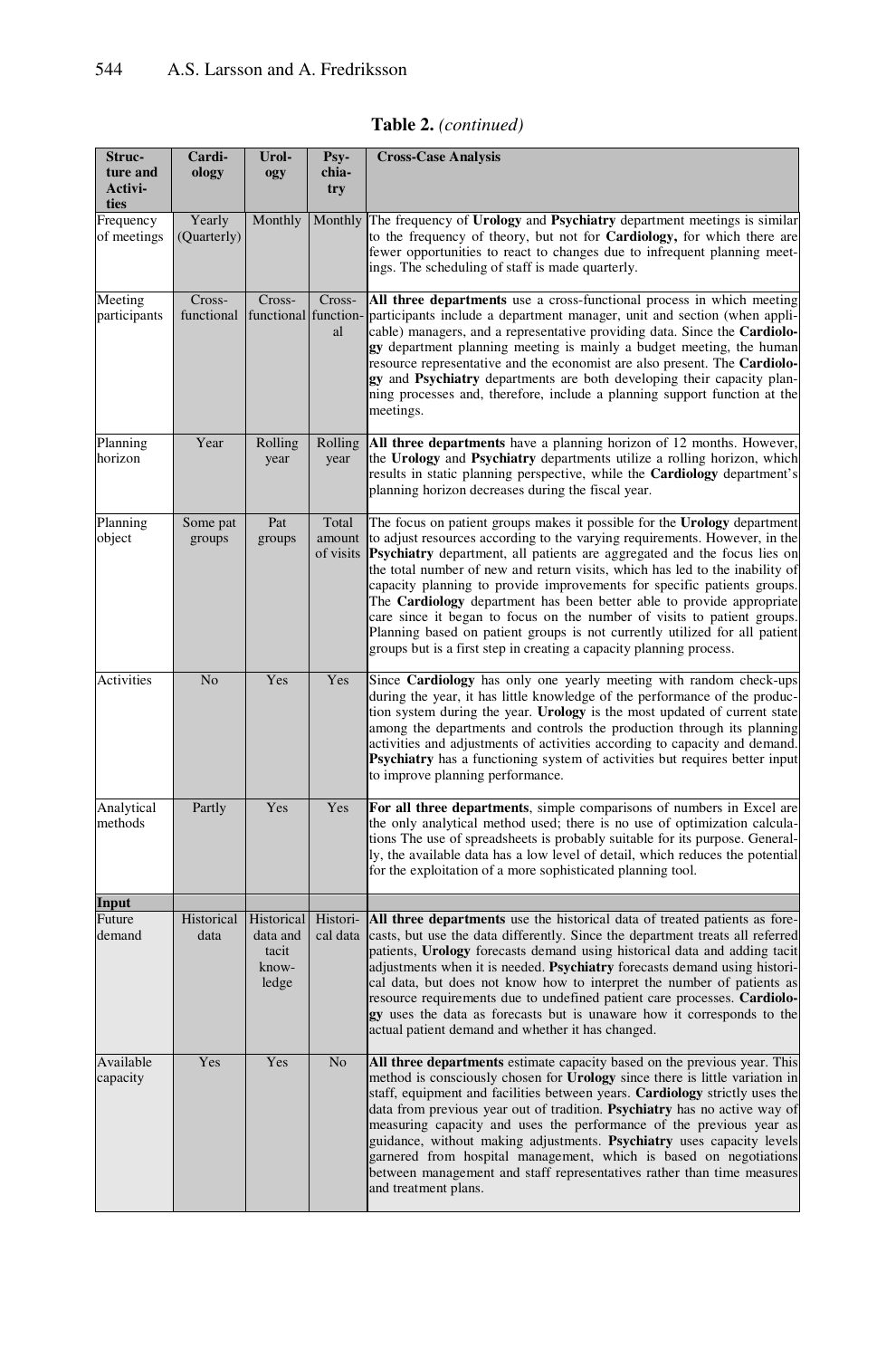| Struc-<br>ture and<br>Activi-<br>ties | Cardi-<br>ology       | Urol-<br>ogy                                      | Psy-<br>chia-<br>try         | <b>Cross-Case Analysis</b>                                                                                                                                                                                                                                                                                                                                                                                                                                                                                                                                                                                                                                                                                    |  |
|---------------------------------------|-----------------------|---------------------------------------------------|------------------------------|---------------------------------------------------------------------------------------------------------------------------------------------------------------------------------------------------------------------------------------------------------------------------------------------------------------------------------------------------------------------------------------------------------------------------------------------------------------------------------------------------------------------------------------------------------------------------------------------------------------------------------------------------------------------------------------------------------------|--|
| Frequency<br>of meetings              | Yearly<br>(Quarterly) | Monthly                                           | Monthly                      | The frequency of Urology and Psychiatry department meetings is similar<br>to the frequency of theory, but not for <b>Cardiology</b> , for which there are<br>fewer opportunities to react to changes due to infrequent planning meet-<br>ings. The scheduling of staff is made quarterly.                                                                                                                                                                                                                                                                                                                                                                                                                     |  |
| Meeting<br>participants               | Cross-<br>functional  | Cross-<br>functional                              | Cross-<br>function-<br>al    | All three departments use a cross-functional process in which meeting<br>participants include a department manager, unit and section (when appli-<br>cable) managers, and a representative providing data. Since the Cardiolo-<br>gy department planning meeting is mainly a budget meeting, the human<br>resource representative and the economist are also present. The Cardiolo-<br>gy and Psychiatry departments are both developing their capacity plan-<br>ning processes and, therefore, include a planning support function at the<br>meetings.                                                                                                                                                       |  |
| Planning<br>horizon                   | Year                  | Rolling<br>year                                   | Rolling<br>year              | All three departments have a planning horizon of 12 months. However,<br>the Urology and Psychiatry departments utilize a rolling horizon, which<br>results in static planning perspective, while the Cardiology department's<br>planning horizon decreases during the fiscal year.                                                                                                                                                                                                                                                                                                                                                                                                                            |  |
| Planning<br>object                    | Some pat<br>groups    | Pat<br>groups                                     | Total<br>amount<br>of visits | The focus on patient groups makes it possible for the Urology department<br>to adjust resources according to the varying requirements. However, in the<br><b>Psychiatry</b> department, all patients are aggregated and the focus lies on<br>the total number of new and return visits, which has led to the inability of<br>capacity planning to provide improvements for specific patients groups.<br>The Cardiology department has been better able to provide appropriate<br>care since it began to focus on the number of visits to patient groups.<br>Planning based on patient groups is not currently utilized for all patient<br>groups but is a first step in creating a capacity planning process. |  |
| Activities                            | No                    | Yes                                               | Yes                          | Since Cardiology has only one yearly meeting with random check-ups<br>during the year, it has little knowledge of the performance of the produc-<br>tion system during the year. Urology is the most updated of current state<br>among the departments and controls the production through its planning<br>activities and adjustments of activities according to capacity and demand.<br>Psychiatry has a functioning system of activities but requires better input<br>to improve planning performance.                                                                                                                                                                                                      |  |
| Analytical<br>methods                 | Partly                | Yes                                               | Yes                          | For all three departments, simple comparisons of numbers in Excel are<br>the only analytical method used; there is no use of optimization calcula-<br>tions The use of spreadsheets is probably suitable for its purpose. General-<br>ly, the available data has a low level of detail, which reduces the potential<br>for the exploitation of a more sophisticated planning tool.                                                                                                                                                                                                                                                                                                                            |  |
| Input                                 |                       |                                                   |                              |                                                                                                                                                                                                                                                                                                                                                                                                                                                                                                                                                                                                                                                                                                               |  |
| Future<br>demand                      | Historical<br>data    | Historical<br>data and<br>tacit<br>know-<br>ledge | Histori-<br>cal data         | All three departments use the historical data of treated patients as fore-<br>casts, but use the data differently. Since the department treats all referred<br>patients, Urology forecasts demand using historical data and adding tacit<br>adjustments when it is needed. Psychiatry forecasts demand using histori-<br>cal data, but does not know how to interpret the number of patients as<br>resource requirements due to undefined patient care processes. Cardiolo-<br>gy uses the data as forecasts but is unaware how it corresponds to the<br>actual patient demand and whether it has changed.                                                                                                    |  |
| Available<br>capacity                 | Yes                   | Yes                                               | No                           | All three departments estimate capacity based on the previous year. This<br>method is consciously chosen for Urology since there is little variation in<br>staff, equipment and facilities between years. Cardiology strictly uses the<br>data from previous year out of tradition. Psychiatry has no active way of<br>measuring capacity and uses the performance of the previous year as<br>guidance, without making adjustments. Psychiatry uses capacity levels<br>garnered from hospital management, which is based on negotiations<br>between management and staff representatives rather than time measures<br>and treatment plans.                                                                    |  |

#### **Table 2.** *(continued)*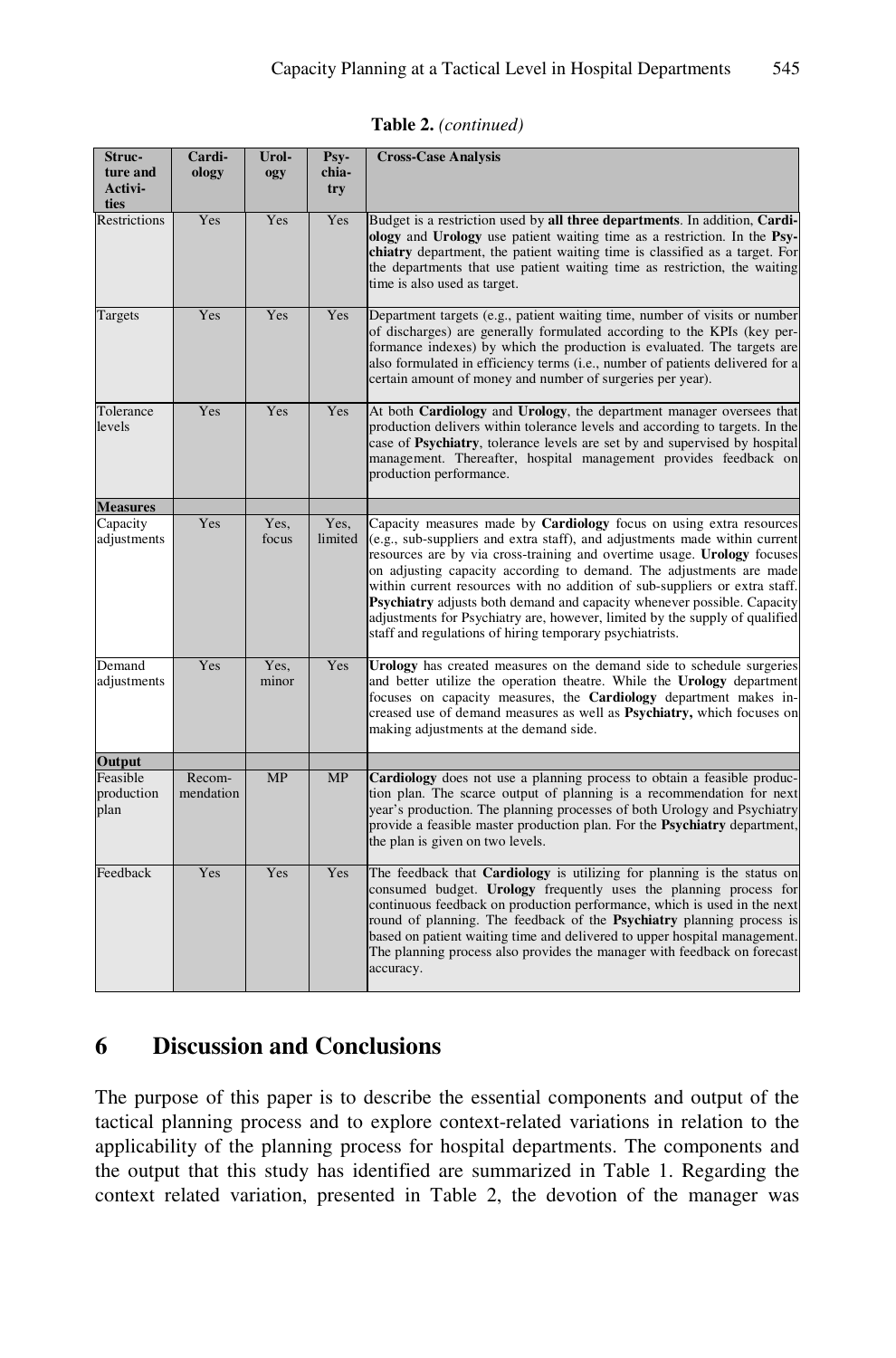|  | <b>Table 2.</b> (continued) |
|--|-----------------------------|
|--|-----------------------------|

| Struc-<br>ture and<br>Activi-<br>ties | Cardi-<br>ology     | Urol-<br>ogy  | Psy-<br>chia-<br>try | <b>Cross-Case Analysis</b>                                                                                                                                                                                                                                                                                                                                                                                                                                                                                                                                                                                            |
|---------------------------------------|---------------------|---------------|----------------------|-----------------------------------------------------------------------------------------------------------------------------------------------------------------------------------------------------------------------------------------------------------------------------------------------------------------------------------------------------------------------------------------------------------------------------------------------------------------------------------------------------------------------------------------------------------------------------------------------------------------------|
| Restrictions                          | Yes                 | Yes           | Yes                  | Budget is a restriction used by all three departments. In addition, Cardi-<br>ology and Urology use patient waiting time as a restriction. In the Psy-<br>chiatry department, the patient waiting time is classified as a target. For<br>the departments that use patient waiting time as restriction, the waiting<br>time is also used as target.                                                                                                                                                                                                                                                                    |
| Targets                               | Yes                 | Yes           | Yes                  | Department targets (e.g., patient waiting time, number of visits or number<br>of discharges) are generally formulated according to the KPIs (key per-<br>formance indexes) by which the production is evaluated. The targets are<br>also formulated in efficiency terms (i.e., number of patients delivered for a<br>certain amount of money and number of surgeries per year).                                                                                                                                                                                                                                       |
| Tolerance<br>levels                   | Yes                 | Yes           | Yes                  | At both Cardiology and Urology, the department manager oversees that<br>production delivers within tolerance levels and according to targets. In the<br>case of Psychiatry, tolerance levels are set by and supervised by hospital<br>management. Thereafter, hospital management provides feedback on<br>production performance.                                                                                                                                                                                                                                                                                     |
| <b>Measures</b>                       |                     |               |                      |                                                                                                                                                                                                                                                                                                                                                                                                                                                                                                                                                                                                                       |
| Capacity<br>adjustments               | Yes                 | Yes.<br>focus | Yes,<br>limited      | Capacity measures made by Cardiology focus on using extra resources<br>(e.g., sub-suppliers and extra staff), and adjustments made within current<br>resources are by via cross-training and overtime usage. <b>Urology</b> focuses<br>on adjusting capacity according to demand. The adjustments are made<br>within current resources with no addition of sub-suppliers or extra staff.<br><b>Psychiatry</b> adjusts both demand and capacity whenever possible. Capacity<br>adjustments for Psychiatry are, however, limited by the supply of qualified<br>staff and regulations of hiring temporary psychiatrists. |
| Demand<br>adjustments                 | Yes                 | Yes.<br>minor | Yes                  | Urology has created measures on the demand side to schedule surgeries<br>and better utilize the operation theatre. While the Urology department<br>focuses on capacity measures, the <b>Cardiology</b> department makes in-<br>creased use of demand measures as well as <b>Psychiatry</b> , which focuses on<br>making adjustments at the demand side.                                                                                                                                                                                                                                                               |
| Output                                |                     |               |                      |                                                                                                                                                                                                                                                                                                                                                                                                                                                                                                                                                                                                                       |
| Feasible<br>production<br>plan        | Recom-<br>mendation | <b>MP</b>     | <b>MP</b>            | <b>Cardiology</b> does not use a planning process to obtain a feasible produc-<br>tion plan. The scarce output of planning is a recommendation for next<br>year's production. The planning processes of both Urology and Psychiatry<br>provide a feasible master production plan. For the Psychiatry department,<br>the plan is given on two levels.                                                                                                                                                                                                                                                                  |
| Feedback                              | Yes                 | Yes           | Yes                  | The feedback that <b>Cardiology</b> is utilizing for planning is the status on<br>consumed budget. Urology frequently uses the planning process for<br>continuous feedback on production performance, which is used in the next<br>round of planning. The feedback of the <b>Psychiatry</b> planning process is<br>based on patient waiting time and delivered to upper hospital management.<br>The planning process also provides the manager with feedback on forecast<br>accuracy.                                                                                                                                 |

### **6 Discussion and Conclusions**

The purpose of this paper is to describe the essential components and output of the tactical planning process and to explore context-related variations in relation to the applicability of the planning process for hospital departments. The components and the output that this study has identified are summarized in Table 1. Regarding the context related variation, presented in Table 2, the devotion of the manager was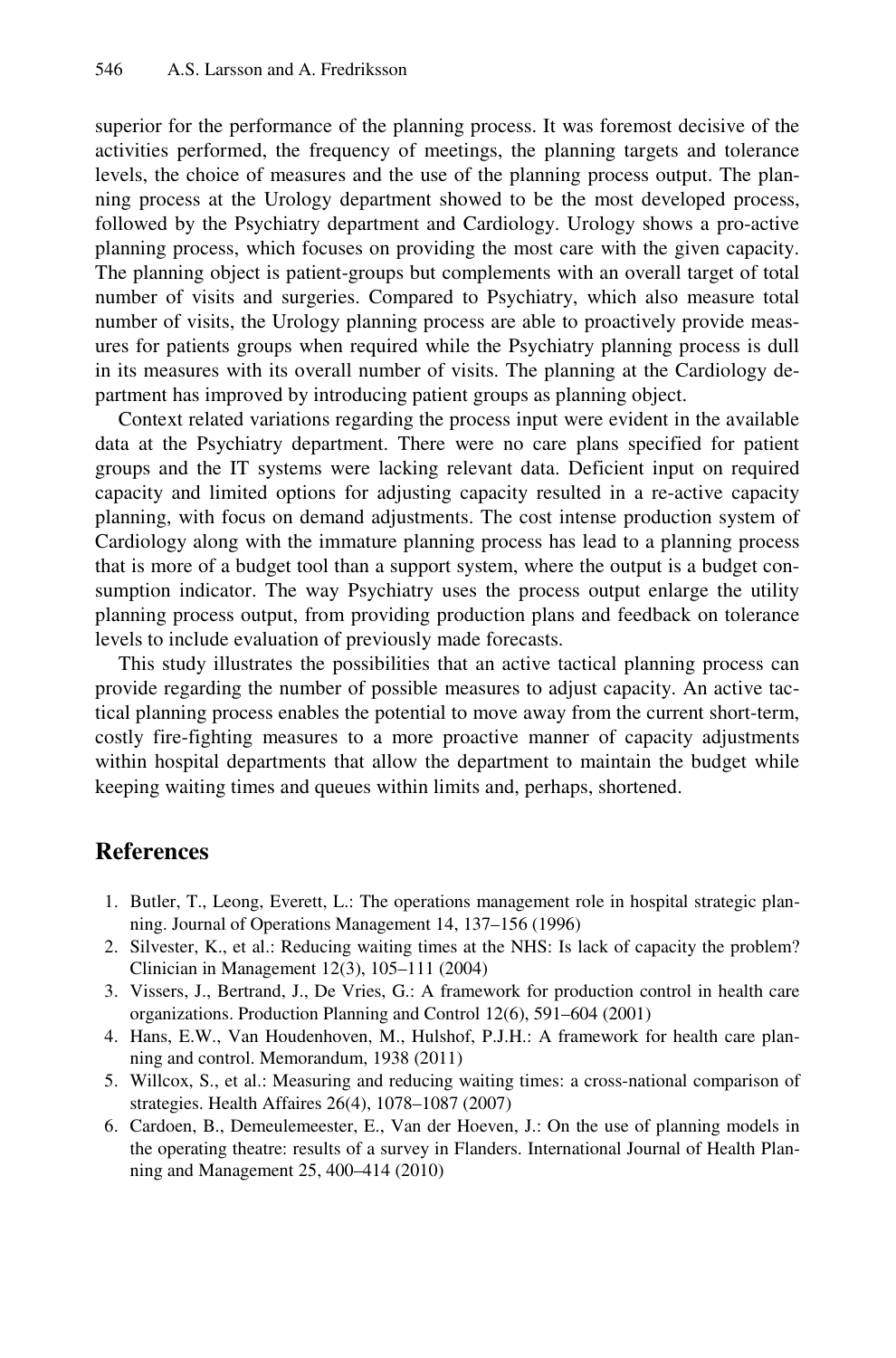superior for the performance of the planning process. It was foremost decisive of the activities performed, the frequency of meetings, the planning targets and tolerance levels, the choice of measures and the use of the planning process output. The planning process at the Urology department showed to be the most developed process, followed by the Psychiatry department and Cardiology. Urology shows a pro-active planning process, which focuses on providing the most care with the given capacity. The planning object is patient-groups but complements with an overall target of total number of visits and surgeries. Compared to Psychiatry, which also measure total number of visits, the Urology planning process are able to proactively provide measures for patients groups when required while the Psychiatry planning process is dull in its measures with its overall number of visits. The planning at the Cardiology department has improved by introducing patient groups as planning object.

Context related variations regarding the process input were evident in the available data at the Psychiatry department. There were no care plans specified for patient groups and the IT systems were lacking relevant data. Deficient input on required capacity and limited options for adjusting capacity resulted in a re-active capacity planning, with focus on demand adjustments. The cost intense production system of Cardiology along with the immature planning process has lead to a planning process that is more of a budget tool than a support system, where the output is a budget consumption indicator. The way Psychiatry uses the process output enlarge the utility planning process output, from providing production plans and feedback on tolerance levels to include evaluation of previously made forecasts.

This study illustrates the possibilities that an active tactical planning process can provide regarding the number of possible measures to adjust capacity. An active tactical planning process enables the potential to move away from the current short-term, costly fire-fighting measures to a more proactive manner of capacity adjustments within hospital departments that allow the department to maintain the budget while keeping waiting times and queues within limits and, perhaps, shortened.

#### **References**

- 1. Butler, T., Leong, Everett, L.: The operations management role in hospital strategic planning. Journal of Operations Management 14, 137–156 (1996)
- 2. Silvester, K., et al.: Reducing waiting times at the NHS: Is lack of capacity the problem? Clinician in Management 12(3), 105–111 (2004)
- 3. Vissers, J., Bertrand, J., De Vries, G.: A framework for production control in health care organizations. Production Planning and Control 12(6), 591–604 (2001)
- 4. Hans, E.W., Van Houdenhoven, M., Hulshof, P.J.H.: A framework for health care planning and control. Memorandum, 1938 (2011)
- 5. Willcox, S., et al.: Measuring and reducing waiting times: a cross-national comparison of strategies. Health Affaires 26(4), 1078–1087 (2007)
- 6. Cardoen, B., Demeulemeester, E., Van der Hoeven, J.: On the use of planning models in the operating theatre: results of a survey in Flanders. International Journal of Health Planning and Management 25, 400–414 (2010)